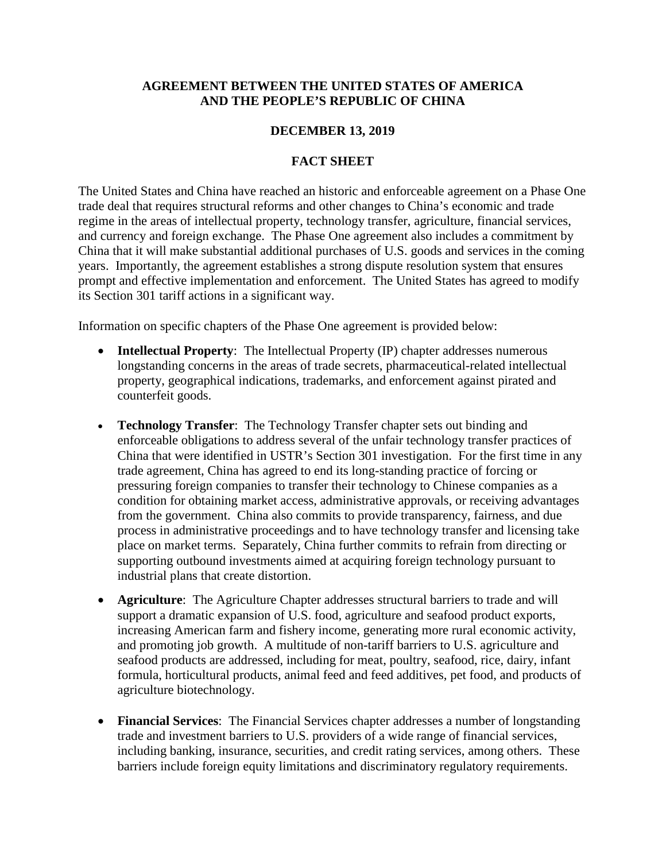## **AGREEMENT BETWEEN THE UNITED STATES OF AMERICA AND THE PEOPLE'S REPUBLIC OF CHINA**

## **DECEMBER 13, 2019**

## **FACT SHEET**

The United States and China have reached an historic and enforceable agreement on a Phase One trade deal that requires structural reforms and other changes to China's economic and trade regime in the areas of intellectual property, technology transfer, agriculture, financial services, and currency and foreign exchange. The Phase One agreement also includes a commitment by China that it will make substantial additional purchases of U.S. goods and services in the coming years. Importantly, the agreement establishes a strong dispute resolution system that ensures prompt and effective implementation and enforcement. The United States has agreed to modify its Section 301 tariff actions in a significant way.

Information on specific chapters of the Phase One agreement is provided below:

- **Intellectual Property**: The Intellectual Property (IP) chapter addresses numerous longstanding concerns in the areas of trade secrets, pharmaceutical-related intellectual property, geographical indications, trademarks, and enforcement against pirated and counterfeit goods.
- **Technology Transfer**: The Technology Transfer chapter sets out binding and enforceable obligations to address several of the unfair technology transfer practices of China that were identified in USTR's Section 301 investigation. For the first time in any trade agreement, China has agreed to end its long-standing practice of forcing or pressuring foreign companies to transfer their technology to Chinese companies as a condition for obtaining market access, administrative approvals, or receiving advantages from the government. China also commits to provide transparency, fairness, and due process in administrative proceedings and to have technology transfer and licensing take place on market terms. Separately, China further commits to refrain from directing or supporting outbound investments aimed at acquiring foreign technology pursuant to industrial plans that create distortion.
- **Agriculture**: The Agriculture Chapter addresses structural barriers to trade and will support a dramatic expansion of U.S. food, agriculture and seafood product exports, increasing American farm and fishery income, generating more rural economic activity, and promoting job growth. A multitude of non-tariff barriers to U.S. agriculture and seafood products are addressed, including for meat, poultry, seafood, rice, dairy, infant formula, horticultural products, animal feed and feed additives, pet food, and products of agriculture biotechnology.
- **Financial Services**: The Financial Services chapter addresses a number of longstanding trade and investment barriers to U.S. providers of a wide range of financial services, including banking, insurance, securities, and credit rating services, among others. These barriers include foreign equity limitations and discriminatory regulatory requirements.